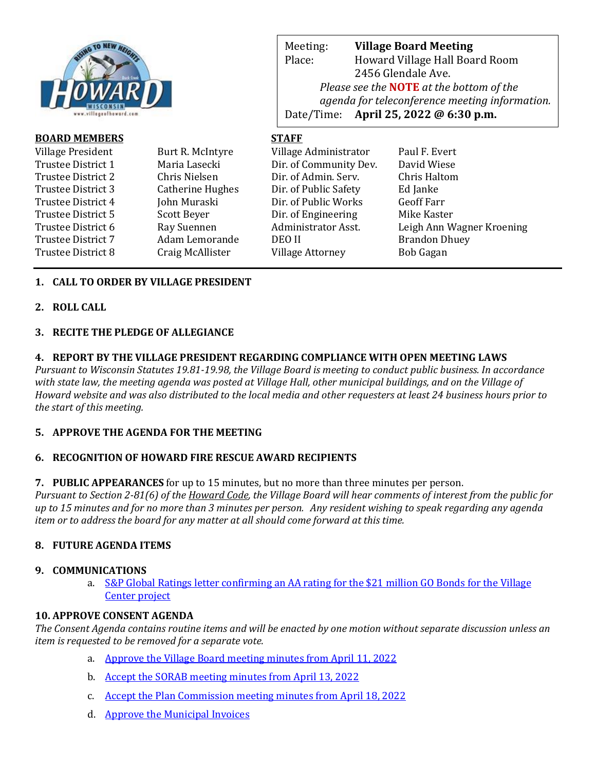

| <b>BOARD MEMBERS</b> |                         | <b>STAFF</b>            |                           |
|----------------------|-------------------------|-------------------------|---------------------------|
| Village President    | Burt R. McIntyre        | Village Administrator   | Paul F. Evert             |
| Trustee District 1   | Maria Lasecki           | Dir. of Community Dev.  | David Wiese               |
| Trustee District 2   | Chris Nielsen           | Dir. of Admin. Serv.    | Chris Haltom              |
| Trustee District 3   | <b>Catherine Hughes</b> | Dir. of Public Safety   | Ed Janke                  |
| Trustee District 4   | John Muraski            | Dir. of Public Works    | <b>Geoff Farr</b>         |
| Trustee District 5   | Scott Beyer             | Dir. of Engineering     | Mike Kaster               |
| Trustee District 6   | Ray Suennen             | Administrator Asst.     | Leigh Ann Wagner Kroening |
| Trustee District 7   | Adam Lemorande          | DEO II                  | <b>Brandon Dhuey</b>      |
| Trustee District 8   | Craig McAllister        | <b>Village Attorney</b> | Bob Gagan                 |
|                      |                         |                         |                           |

Meeting: **Village Board Meeting**

Place: Howard Village Hall Board Room 2456 Glendale Ave.

Date/Time: **April 25, 2022 @ 6:30 p.m.**

*Please see the* **NOTE** *at the bottom of the* 

*agenda for teleconference meeting information.* 

# **1. CALL TO ORDER BY VILLAGE PRESIDENT**

## **2. ROLL CALL**

## **3. RECITE THE PLEDGE OF ALLEGIANCE**

## **4. REPORT BY THE VILLAGE PRESIDENT REGARDING COMPLIANCE WITH OPEN MEETING LAWS**

*Pursuant to Wisconsin Statutes 19.81-19.98, the Village Board is meeting to conduct public business. In accordance with state law, the meeting agenda was posted at Village Hall, other municipal buildings, and on the Village of Howard website and was also distributed to the local media and other requesters at least 24 business hours prior to the start of this meeting.* 

# **5. APPROVE THE AGENDA FOR THE MEETING**

# **6. RECOGNITION OF HOWARD FIRE RESCUE AWARD RECIPIENTS**

**7. PUBLIC APPEARANCES** for up to 15 minutes, but no more than three minutes per person.

*Pursuant to Section 2-81(6) of the Howard Code, the Village Board will hear comments of interest from the public for up to 15 minutes and for no more than 3 minutes per person. Any resident wishing to speak regarding any agenda item or to address the board for any matter at all should come forward at this time.* 

# **8. FUTURE AGENDA ITEMS**

#### **9. COMMUNICATIONS**

a. S&P Global Ratings letter [confirming an AA rating for the \\$21 million GO Bonds for](https://www.villageofhoward.com/DocumentCenter/View/8276/9a-SP-Global-ratings-letter) the Village [Center project](https://www.villageofhoward.com/DocumentCenter/View/8276/9a-SP-Global-ratings-letter)

#### **10. APPROVE CONSENT AGENDA**

*The Consent Agenda contains routine items and will be enacted by one motion without separate discussion unless an item is requested to be removed for a separate vote.*

- a. [Approve the Village Board meeting minutes from April 11, 2022](https://www.villageofhoward.com/DocumentCenter/View/8277/10a-VB-Minutes-04-11-22)
- b. [Accept the SORAB meeting minutes from April 13, 2022](https://www.villageofhoward.com/DocumentCenter/View/8278/10b-SORAB-minutes-04-13-22)
- c. [Accept the Plan Commission meeting minutes from April 18, 2022](https://www.villageofhoward.com/DocumentCenter/View/8279/10c-PC-Minutes-04-18-22)
- d. [Approve the Municipal Invoices](https://www.villageofhoward.com/DocumentCenter/View/8280/10d-Municipal-invoices)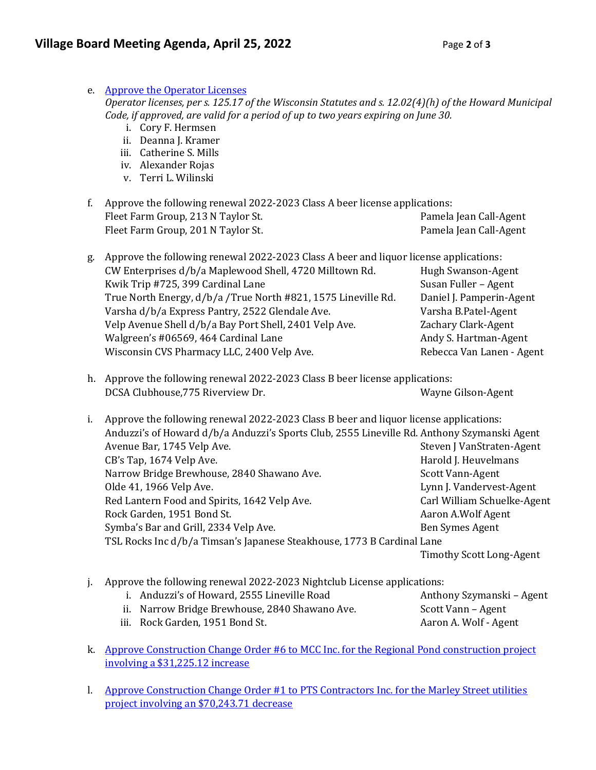| e. | <b>Approve the Operator Licenses</b><br>Operator licenses, per s. 125.17 of the Wisconsin Statutes and s. 12.02(4)(h) of the Howard Municipal<br>Code, if approved, are valid for a period of up to two years expiring on June 30.<br>i. Cory F. Hermsen<br>ii. Deanna J. Kramer<br>iii. Catherine S. Mills<br>iv. Alexander Rojas<br>v. Terri L. Wilinski |                                 |  |
|----|------------------------------------------------------------------------------------------------------------------------------------------------------------------------------------------------------------------------------------------------------------------------------------------------------------------------------------------------------------|---------------------------------|--|
| f. | Approve the following renewal 2022-2023 Class A beer license applications:                                                                                                                                                                                                                                                                                 |                                 |  |
|    | Fleet Farm Group, 213 N Taylor St.                                                                                                                                                                                                                                                                                                                         | Pamela Jean Call-Agent          |  |
|    | Fleet Farm Group, 201 N Taylor St.                                                                                                                                                                                                                                                                                                                         | Pamela Jean Call-Agent          |  |
| g. | Approve the following renewal 2022-2023 Class A beer and liquor license applications:                                                                                                                                                                                                                                                                      |                                 |  |
|    | CW Enterprises d/b/a Maplewood Shell, 4720 Milltown Rd.                                                                                                                                                                                                                                                                                                    | Hugh Swanson-Agent              |  |
|    | Kwik Trip #725, 399 Cardinal Lane                                                                                                                                                                                                                                                                                                                          | Susan Fuller - Agent            |  |
|    | True North Energy, d/b/a /True North #821, 1575 Lineville Rd.                                                                                                                                                                                                                                                                                              | Daniel J. Pamperin-Agent        |  |
|    | Varsha d/b/a Express Pantry, 2522 Glendale Ave.                                                                                                                                                                                                                                                                                                            | Varsha B.Patel-Agent            |  |
|    | Velp Avenue Shell d/b/a Bay Port Shell, 2401 Velp Ave.                                                                                                                                                                                                                                                                                                     | Zachary Clark-Agent             |  |
|    | Walgreen's #06569, 464 Cardinal Lane                                                                                                                                                                                                                                                                                                                       | Andy S. Hartman-Agent           |  |
|    | Wisconsin CVS Pharmacy LLC, 2400 Velp Ave.                                                                                                                                                                                                                                                                                                                 | Rebecca Van Lanen - Agent       |  |
| h. | Approve the following renewal 2022-2023 Class B beer license applications:                                                                                                                                                                                                                                                                                 |                                 |  |
|    | DCSA Clubhouse, 775 Riverview Dr.                                                                                                                                                                                                                                                                                                                          | Wayne Gilson-Agent              |  |
| i. | Approve the following renewal 2022-2023 Class B beer and liquor license applications:                                                                                                                                                                                                                                                                      |                                 |  |
|    | Anduzzi's of Howard d/b/a Anduzzi's Sports Club, 2555 Lineville Rd. Anthony Szymanski Agent                                                                                                                                                                                                                                                                |                                 |  |
|    | Avenue Bar, 1745 Velp Ave.                                                                                                                                                                                                                                                                                                                                 | Steven J VanStraten-Agent       |  |
|    | CB's Tap, 1674 Velp Ave.                                                                                                                                                                                                                                                                                                                                   | Harold J. Heuvelmans            |  |
|    | Narrow Bridge Brewhouse, 2840 Shawano Ave.                                                                                                                                                                                                                                                                                                                 | Scott Vann-Agent                |  |
|    | Olde 41, 1966 Velp Ave.                                                                                                                                                                                                                                                                                                                                    | Lynn J. Vandervest-Agent        |  |
|    | Red Lantern Food and Spirits, 1642 Velp Ave.                                                                                                                                                                                                                                                                                                               | Carl William Schuelke-Agent     |  |
|    | Rock Garden, 1951 Bond St.                                                                                                                                                                                                                                                                                                                                 | Aaron A.Wolf Agent              |  |
|    | Symba's Bar and Grill, 2334 Velp Ave.                                                                                                                                                                                                                                                                                                                      | Ben Symes Agent                 |  |
|    | TSL Rocks Inc d/b/a Timsan's Japanese Steakhouse, 1773 B Cardinal Lane                                                                                                                                                                                                                                                                                     |                                 |  |
|    |                                                                                                                                                                                                                                                                                                                                                            | <b>Timothy Scott Long-Agent</b> |  |
| j. | Approve the following renewal 2022-2023 Nightclub License applications:                                                                                                                                                                                                                                                                                    |                                 |  |
|    | i. Anduzzi's of Howard, 2555 Lineville Road                                                                                                                                                                                                                                                                                                                | Anthony Szymanski - Agent       |  |
|    | ii. Narrow Bridge Brewhouse, 2840 Shawano Ave.                                                                                                                                                                                                                                                                                                             | Scott Vann - Agent              |  |
|    | iii. Rock Garden, 1951 Bond St.                                                                                                                                                                                                                                                                                                                            | Aaron A. Wolf - Agent           |  |
| k. | <u>Approve Construction Change Order #6 to MCC Inc. for the Regional Pond construction project</u><br>involving a \$31,225.12 increase                                                                                                                                                                                                                     |                                 |  |

l. [Approve Construction Change Order #1 to PTS Contractors Inc. for the Marley Street utilities](https://www.villageofhoward.com/DocumentCenter/View/8283/10l-CO-1-Marley-Street-utilities)  [project involving an \\$70,243.71](https://www.villageofhoward.com/DocumentCenter/View/8283/10l-CO-1-Marley-Street-utilities) decrease